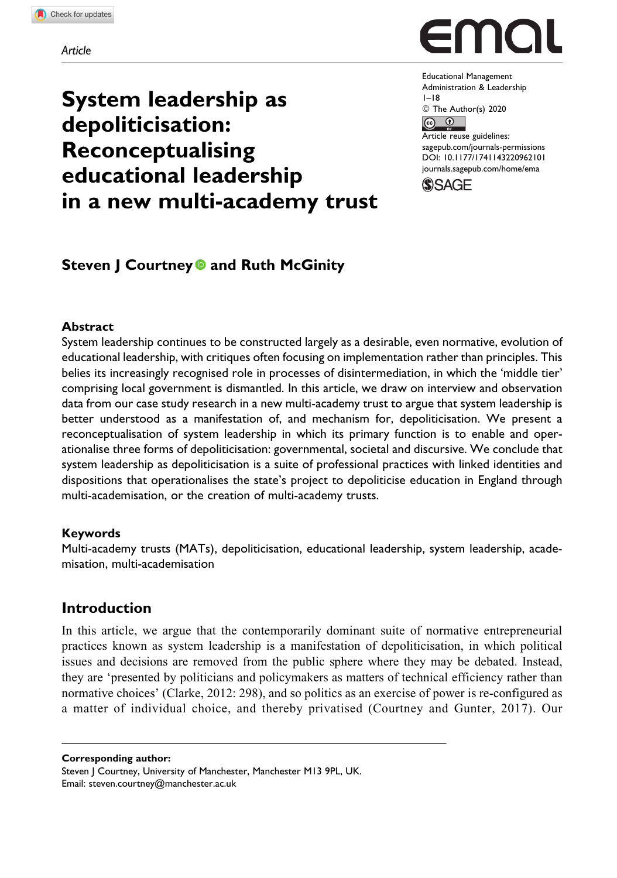Article

# System leadership as depoliticisation: Reconceptualising educational leadership in a new multi-academy trust



Educational Management Administration & Leadership 1–18 © The Author(s) 2020  $\circ$   $\circ$ Article reuse guidelines: [sagepub.com/journals-permissions](https://sagepub.com/journals-permissions) [DOI: 10.1177/1741143220962101](https://doi.org/10.1177/1741143220962101) [journals.sagepub.com/home/ema](http://journals.sagepub.com/home/ema)



# Steven J Courtney and Ruth McGinity

## Abstract

System leadership continues to be constructed largely as a desirable, even normative, evolution of educational leadership, with critiques often focusing on implementation rather than principles. This belies its increasingly recognised role in processes of disintermediation, in which the 'middle tier' comprising local government is dismantled. In this article, we draw on interview and observation data from our case study research in a new multi-academy trust to argue that system leadership is better understood as a manifestation of, and mechanism for, depoliticisation. We present a reconceptualisation of system leadership in which its primary function is to enable and operationalise three forms of depoliticisation: governmental, societal and discursive. We conclude that system leadership as depoliticisation is a suite of professional practices with linked identities and dispositions that operationalises the state's project to depoliticise education in England through multi-academisation, or the creation of multi-academy trusts.

### Keywords

Multi-academy trusts (MATs), depoliticisation, educational leadership, system leadership, academisation, multi-academisation

## Introduction

In this article, we argue that the contemporarily dominant suite of normative entrepreneurial practices known as system leadership is a manifestation of depoliticisation, in which political issues and decisions are removed from the public sphere where they may be debated. Instead, they are 'presented by politicians and policymakers as matters of technical efficiency rather than normative choices' (Clarke, 2012: 298), and so politics as an exercise of power is re-configured as a matter of individual choice, and thereby privatised (Courtney and Gunter, 2017). Our

Corresponding author:

Steven J Courtney, University of Manchester, Manchester M13 9PL, UK. Email: [steven.courtney@manchester.ac.uk](mailto:steven.courtney@manchester.ac.uk)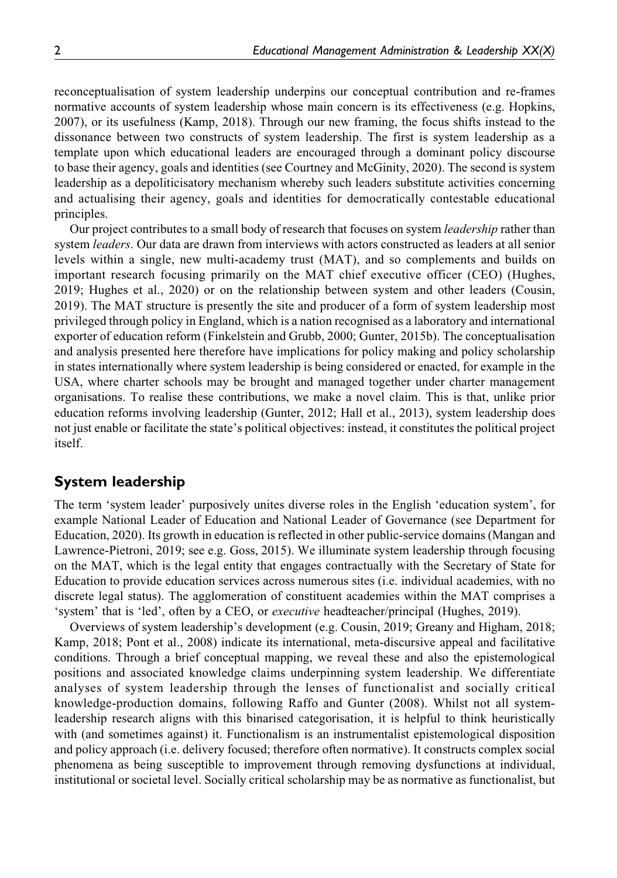reconceptualisation of system leadership underpins our conceptual contribution and re-frames normative accounts of system leadership whose main concern is its effectiveness (e.g. Hopkins, 2007), or its usefulness (Kamp, 2018). Through our new framing, the focus shifts instead to the dissonance between two constructs of system leadership. The first is system leadership as a template upon which educational leaders are encouraged through a dominant policy discourse to base their agency, goals and identities (see Courtney and McGinity, 2020). The second is system leadership as a depoliticisatory mechanism whereby such leaders substitute activities concerning and actualising their agency, goals and identities for democratically contestable educational principles.

Our project contributes to a small body of research that focuses on system *leadership* rather than system leaders. Our data are drawn from interviews with actors constructed as leaders at all senior levels within a single, new multi-academy trust (MAT), and so complements and builds on important research focusing primarily on the MAT chief executive officer (CEO) (Hughes, 2019; Hughes et al., 2020) or on the relationship between system and other leaders (Cousin, 2019). The MAT structure is presently the site and producer of a form of system leadership most privileged through policy in England, which is a nation recognised as a laboratory and international exporter of education reform (Finkelstein and Grubb, 2000; Gunter, 2015b). The conceptualisation and analysis presented here therefore have implications for policy making and policy scholarship in states internationally where system leadership is being considered or enacted, for example in the USA, where charter schools may be brought and managed together under charter management organisations. To realise these contributions, we make a novel claim. This is that, unlike prior education reforms involving leadership (Gunter, 2012; Hall et al., 2013), system leadership does not just enable or facilitate the state's political objectives: instead, it constitutes the political project itself.

## System leadership

The term 'system leader' purposively unites diverse roles in the English 'education system', for example National Leader of Education and National Leader of Governance (see Department for Education, 2020). Its growth in education is reflected in other public-service domains (Mangan and Lawrence-Pietroni, 2019; see e.g. Goss, 2015). We illuminate system leadership through focusing on the MAT, which is the legal entity that engages contractually with the Secretary of State for Education to provide education services across numerous sites (i.e. individual academies, with no discrete legal status). The agglomeration of constituent academies within the MAT comprises a 'system' that is 'led', often by a CEO, or *executive* headteacher/principal (Hughes, 2019).

Overviews of system leadership's development (e.g. Cousin, 2019; Greany and Higham, 2018; Kamp, 2018; Pont et al., 2008) indicate its international, meta-discursive appeal and facilitative conditions. Through a brief conceptual mapping, we reveal these and also the epistemological positions and associated knowledge claims underpinning system leadership. We differentiate analyses of system leadership through the lenses of functionalist and socially critical knowledge-production domains, following Raffo and Gunter (2008). Whilst not all systemleadership research aligns with this binarised categorisation, it is helpful to think heuristically with (and sometimes against) it. Functionalism is an instrumentalist epistemological disposition and policy approach (i.e. delivery focused; therefore often normative). It constructs complex social phenomena as being susceptible to improvement through removing dysfunctions at individual, institutional or societal level. Socially critical scholarship may be as normative as functionalist, but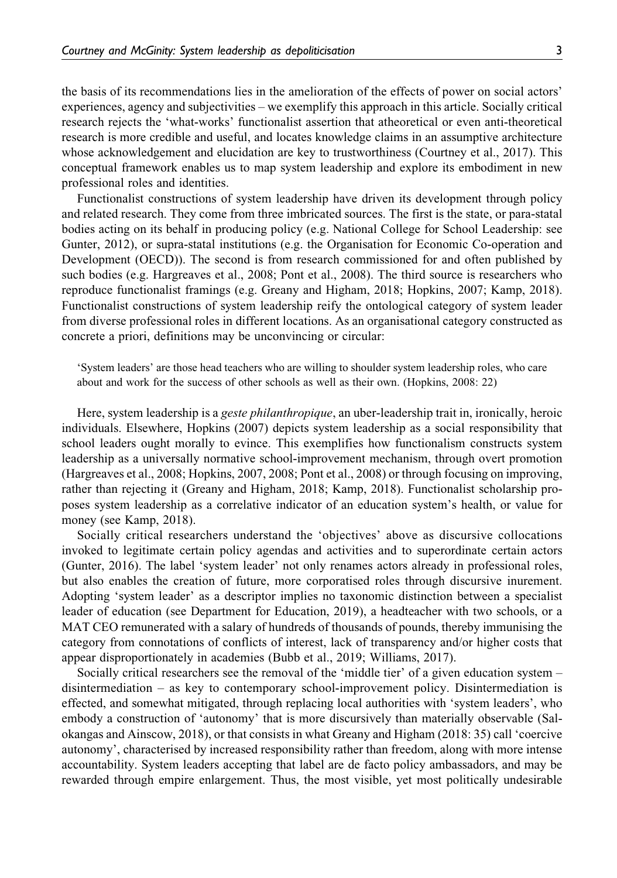the basis of its recommendations lies in the amelioration of the effects of power on social actors' experiences, agency and subjectivities – we exemplify this approach in this article. Socially critical research rejects the 'what-works' functionalist assertion that atheoretical or even anti-theoretical research is more credible and useful, and locates knowledge claims in an assumptive architecture whose acknowledgement and elucidation are key to trustworthiness (Courtney et al., 2017). This conceptual framework enables us to map system leadership and explore its embodiment in new professional roles and identities.

Functionalist constructions of system leadership have driven its development through policy and related research. They come from three imbricated sources. The first is the state, or para-statal bodies acting on its behalf in producing policy (e.g. National College for School Leadership: see Gunter, 2012), or supra-statal institutions (e.g. the Organisation for Economic Co-operation and Development (OECD)). The second is from research commissioned for and often published by such bodies (e.g. Hargreaves et al., 2008; Pont et al., 2008). The third source is researchers who reproduce functionalist framings (e.g. Greany and Higham, 2018; Hopkins, 2007; Kamp, 2018). Functionalist constructions of system leadership reify the ontological category of system leader from diverse professional roles in different locations. As an organisational category constructed as concrete a priori, definitions may be unconvincing or circular:

'System leaders' are those head teachers who are willing to shoulder system leadership roles, who care about and work for the success of other schools as well as their own. (Hopkins, 2008: 22)

Here, system leadership is a geste philanthropique, an uber-leadership trait in, ironically, heroic individuals. Elsewhere, Hopkins (2007) depicts system leadership as a social responsibility that school leaders ought morally to evince. This exemplifies how functionalism constructs system leadership as a universally normative school-improvement mechanism, through overt promotion (Hargreaves et al., 2008; Hopkins, 2007, 2008; Pont et al., 2008) or through focusing on improving, rather than rejecting it (Greany and Higham, 2018; Kamp, 2018). Functionalist scholarship proposes system leadership as a correlative indicator of an education system's health, or value for money (see Kamp, 2018).

Socially critical researchers understand the 'objectives' above as discursive collocations invoked to legitimate certain policy agendas and activities and to superordinate certain actors (Gunter, 2016). The label 'system leader' not only renames actors already in professional roles, but also enables the creation of future, more corporatised roles through discursive inurement. Adopting 'system leader' as a descriptor implies no taxonomic distinction between a specialist leader of education (see Department for Education, 2019), a headteacher with two schools, or a MAT CEO remunerated with a salary of hundreds of thousands of pounds, thereby immunising the category from connotations of conflicts of interest, lack of transparency and/or higher costs that appear disproportionately in academies (Bubb et al., 2019; Williams, 2017).

Socially critical researchers see the removal of the 'middle tier' of a given education system – disintermediation – as key to contemporary school-improvement policy. Disintermediation is effected, and somewhat mitigated, through replacing local authorities with 'system leaders', who embody a construction of 'autonomy' that is more discursively than materially observable (Salokangas and Ainscow, 2018), or that consists in what Greany and Higham (2018: 35) call 'coercive autonomy', characterised by increased responsibility rather than freedom, along with more intense accountability. System leaders accepting that label are de facto policy ambassadors, and may be rewarded through empire enlargement. Thus, the most visible, yet most politically undesirable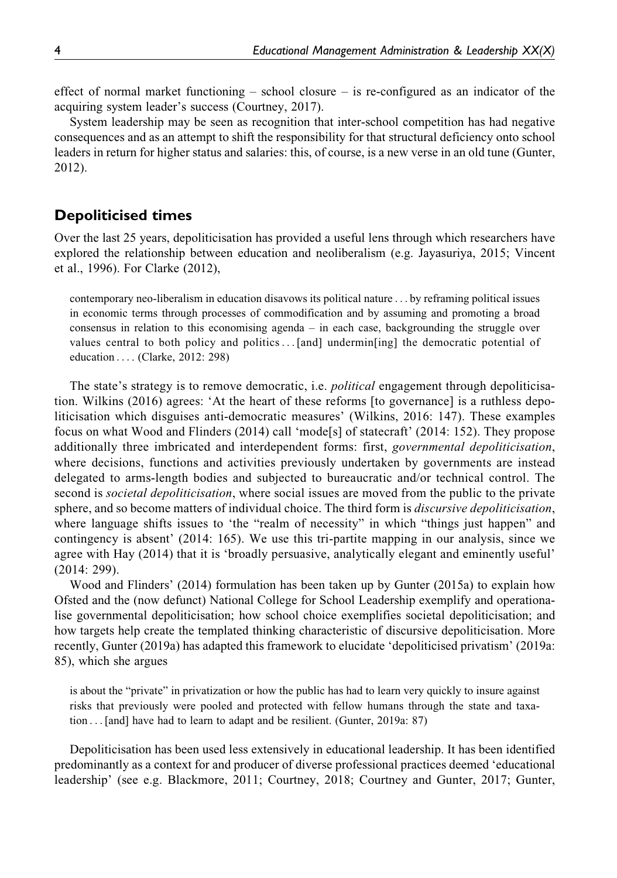effect of normal market functioning  $-$  school closure  $-$  is re-configured as an indicator of the acquiring system leader's success (Courtney, 2017).

System leadership may be seen as recognition that inter-school competition has had negative consequences and as an attempt to shift the responsibility for that structural deficiency onto school leaders in return for higher status and salaries: this, of course, is a new verse in an old tune (Gunter, 2012).

## Depoliticised times

Over the last 25 years, depoliticisation has provided a useful lens through which researchers have explored the relationship between education and neoliberalism (e.g. Jayasuriya, 2015; Vincent et al., 1996). For Clarke (2012),

contemporary neo-liberalism in education disavows its political nature ... by reframing political issues in economic terms through processes of commodification and by assuming and promoting a broad consensus in relation to this economising agenda – in each case, backgrounding the struggle over values central to both policy and politics...[and] undermin[ing] the democratic potential of education ... . (Clarke, 2012: 298)

The state's strategy is to remove democratic, i.e. *political* engagement through depoliticisation. Wilkins (2016) agrees: 'At the heart of these reforms [to governance] is a ruthless depoliticisation which disguises anti-democratic measures' (Wilkins, 2016: 147). These examples focus on what Wood and Flinders (2014) call 'mode[s] of statecraft' (2014: 152). They propose additionally three imbricated and interdependent forms: first, governmental depoliticisation, where decisions, functions and activities previously undertaken by governments are instead delegated to arms-length bodies and subjected to bureaucratic and/or technical control. The second is *societal depoliticisation*, where social issues are moved from the public to the private sphere, and so become matters of individual choice. The third form is *discursive depoliticisation*, where language shifts issues to 'the "realm of necessity" in which "things just happen" and contingency is absent' (2014: 165). We use this tri-partite mapping in our analysis, since we agree with Hay (2014) that it is 'broadly persuasive, analytically elegant and eminently useful' (2014: 299).

Wood and Flinders' (2014) formulation has been taken up by Gunter (2015a) to explain how Ofsted and the (now defunct) National College for School Leadership exemplify and operationalise governmental depoliticisation; how school choice exemplifies societal depoliticisation; and how targets help create the templated thinking characteristic of discursive depoliticisation. More recently, Gunter (2019a) has adapted this framework to elucidate 'depoliticised privatism' (2019a: 85), which she argues

is about the "private" in privatization or how the public has had to learn very quickly to insure against risks that previously were pooled and protected with fellow humans through the state and taxation ...[and] have had to learn to adapt and be resilient. (Gunter, 2019a: 87)

Depoliticisation has been used less extensively in educational leadership. It has been identified predominantly as a context for and producer of diverse professional practices deemed 'educational leadership' (see e.g. Blackmore, 2011; Courtney, 2018; Courtney and Gunter, 2017; Gunter,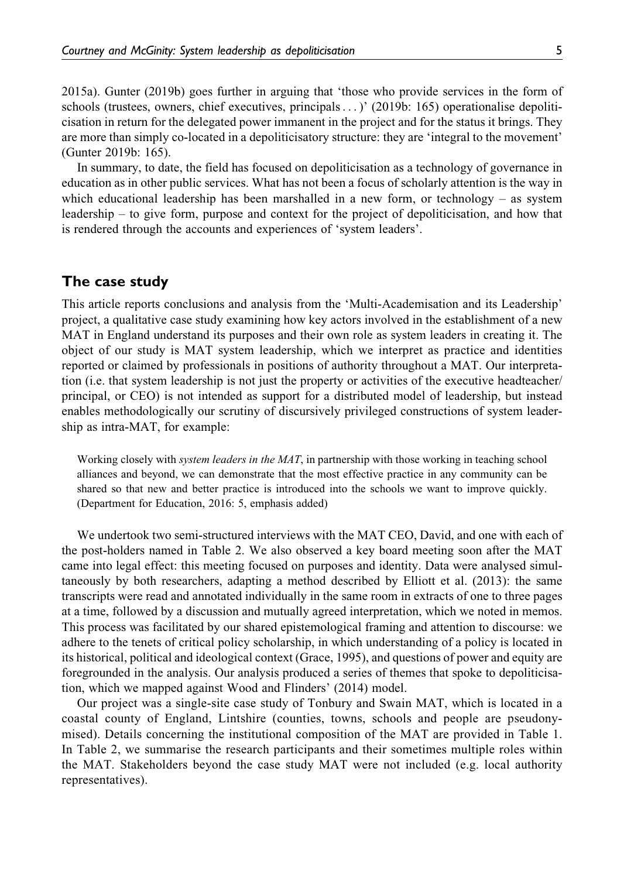2015a). Gunter (2019b) goes further in arguing that 'those who provide services in the form of schools (trustees, owners, chief executives, principals... )' (2019b: 165) operationalise depoliticisation in return for the delegated power immanent in the project and for the status it brings. They are more than simply co-located in a depoliticisatory structure: they are 'integral to the movement' (Gunter 2019b: 165).

In summary, to date, the field has focused on depoliticisation as a technology of governance in education as in other public services. What has not been a focus of scholarly attention is the way in which educational leadership has been marshalled in a new form, or technology – as system leadership – to give form, purpose and context for the project of depoliticisation, and how that is rendered through the accounts and experiences of 'system leaders'.

## The case study

This article reports conclusions and analysis from the 'Multi-Academisation and its Leadership' project, a qualitative case study examining how key actors involved in the establishment of a new MAT in England understand its purposes and their own role as system leaders in creating it. The object of our study is MAT system leadership, which we interpret as practice and identities reported or claimed by professionals in positions of authority throughout a MAT. Our interpretation (i.e. that system leadership is not just the property or activities of the executive headteacher/ principal, or CEO) is not intended as support for a distributed model of leadership, but instead enables methodologically our scrutiny of discursively privileged constructions of system leadership as intra-MAT, for example:

Working closely with *system leaders in the MAT*, in partnership with those working in teaching school alliances and beyond, we can demonstrate that the most effective practice in any community can be shared so that new and better practice is introduced into the schools we want to improve quickly. (Department for Education, 2016: 5, emphasis added)

We undertook two semi-structured interviews with the MAT CEO, David, and one with each of the post-holders named in Table 2. We also observed a key board meeting soon after the MAT came into legal effect: this meeting focused on purposes and identity. Data were analysed simultaneously by both researchers, adapting a method described by Elliott et al. (2013): the same transcripts were read and annotated individually in the same room in extracts of one to three pages at a time, followed by a discussion and mutually agreed interpretation, which we noted in memos. This process was facilitated by our shared epistemological framing and attention to discourse: we adhere to the tenets of critical policy scholarship, in which understanding of a policy is located in its historical, political and ideological context (Grace, 1995), and questions of power and equity are foregrounded in the analysis. Our analysis produced a series of themes that spoke to depoliticisation, which we mapped against Wood and Flinders' (2014) model.

Our project was a single-site case study of Tonbury and Swain MAT, which is located in a coastal county of England, Lintshire (counties, towns, schools and people are pseudonymised). Details concerning the institutional composition of the MAT are provided in Table 1. In Table 2, we summarise the research participants and their sometimes multiple roles within the MAT. Stakeholders beyond the case study MAT were not included (e.g. local authority representatives).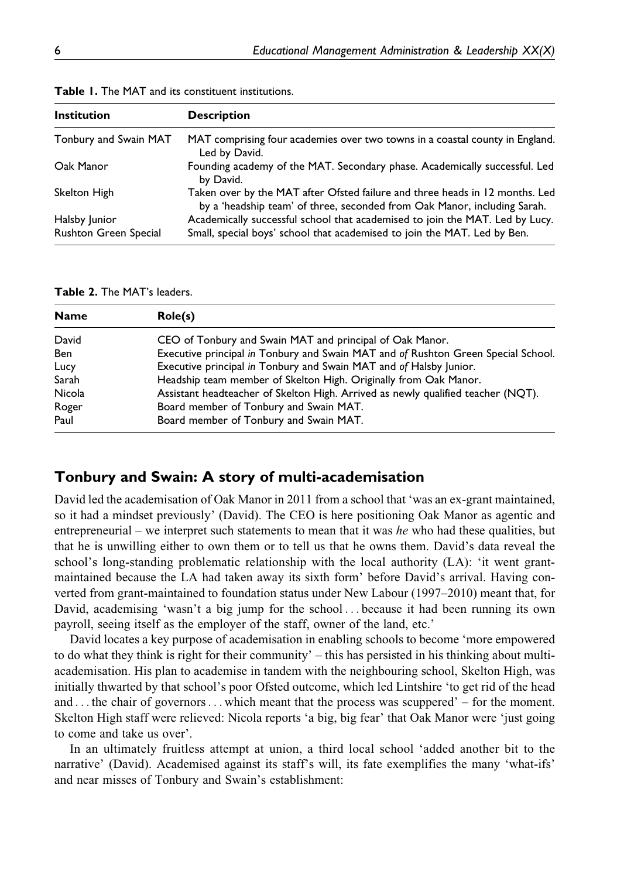| <b>Institution</b>    | <b>Description</b>                                                                                                                                       |
|-----------------------|----------------------------------------------------------------------------------------------------------------------------------------------------------|
| Tonbury and Swain MAT | MAT comprising four academies over two towns in a coastal county in England.<br>Led by David.                                                            |
| Oak Manor             | Founding academy of the MAT. Secondary phase. Academically successful. Led<br>by David.                                                                  |
| Skelton High          | Taken over by the MAT after Ofsted failure and three heads in 12 months. Led<br>by a 'headship team' of three, seconded from Oak Manor, including Sarah. |
| Halsby Junior         | Academically successful school that academised to join the MAT. Led by Lucy.                                                                             |
| Rushton Green Special | Small, special boys' school that academised to join the MAT. Led by Ben.                                                                                 |

Table 1. The MAT and its constituent institutions.

Table 2. The MAT's leaders.

| <b>Name</b> | Role(s)                                                                           |
|-------------|-----------------------------------------------------------------------------------|
| David       | CEO of Tonbury and Swain MAT and principal of Oak Manor.                          |
| Ben         | Executive principal in Tonbury and Swain MAT and of Rushton Green Special School. |
| Lucy        | Executive principal in Tonbury and Swain MAT and of Halsby Junior.                |
| Sarah       | Headship team member of Skelton High. Originally from Oak Manor.                  |
| Nicola      | Assistant headteacher of Skelton High. Arrived as newly qualified teacher (NQT).  |
| Roger       | Board member of Tonbury and Swain MAT.                                            |
| Paul        | Board member of Tonbury and Swain MAT.                                            |

## Tonbury and Swain: A story of multi-academisation

David led the academisation of Oak Manor in 2011 from a school that 'was an ex-grant maintained, so it had a mindset previously' (David). The CEO is here positioning Oak Manor as agentic and entrepreneurial – we interpret such statements to mean that it was he who had these qualities, but that he is unwilling either to own them or to tell us that he owns them. David's data reveal the school's long-standing problematic relationship with the local authority (LA): 'it went grantmaintained because the LA had taken away its sixth form' before David's arrival. Having converted from grant-maintained to foundation status under New Labour (1997–2010) meant that, for David, academising 'wasn't a big jump for the school ... because it had been running its own payroll, seeing itself as the employer of the staff, owner of the land, etc.'

David locates a key purpose of academisation in enabling schools to become 'more empowered to do what they think is right for their community' – this has persisted in his thinking about multiacademisation. His plan to academise in tandem with the neighbouring school, Skelton High, was initially thwarted by that school's poor Ofsted outcome, which led Lintshire 'to get rid of the head and ... the chair of governors... which meant that the process was scuppered' – for the moment. Skelton High staff were relieved: Nicola reports 'a big, big fear' that Oak Manor were 'just going to come and take us over'.

In an ultimately fruitless attempt at union, a third local school 'added another bit to the narrative' (David). Academised against its staff's will, its fate exemplifies the many 'what-ifs' and near misses of Tonbury and Swain's establishment: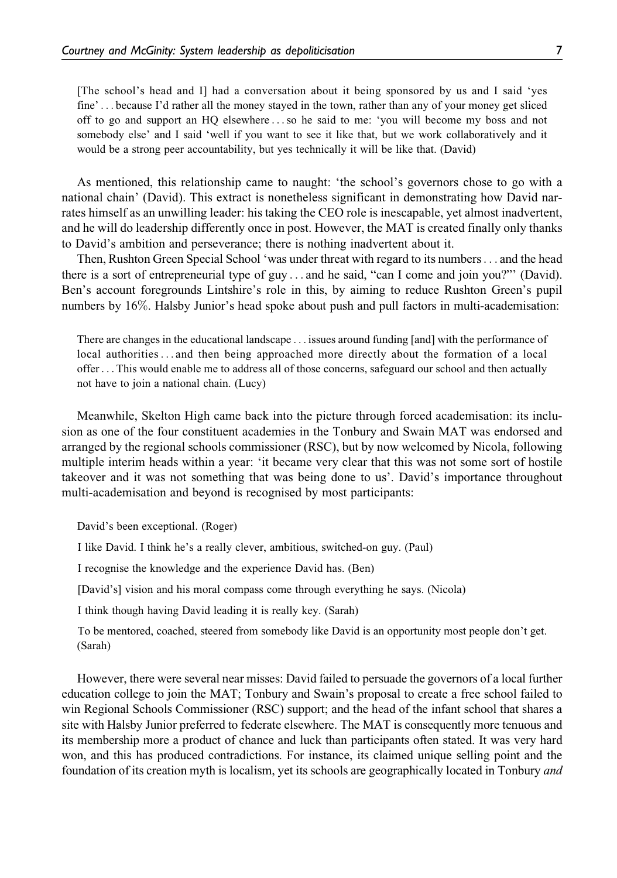[The school's head and I] had a conversation about it being sponsored by us and I said 'yes fine' ... because I'd rather all the money stayed in the town, rather than any of your money get sliced off to go and support an HQ elsewhere ...so he said to me: 'you will become my boss and not somebody else' and I said 'well if you want to see it like that, but we work collaboratively and it would be a strong peer accountability, but yes technically it will be like that. (David)

As mentioned, this relationship came to naught: 'the school's governors chose to go with a national chain' (David). This extract is nonetheless significant in demonstrating how David narrates himself as an unwilling leader: his taking the CEO role is inescapable, yet almost inadvertent, and he will do leadership differently once in post. However, the MAT is created finally only thanks to David's ambition and perseverance; there is nothing inadvertent about it.

Then, Rushton Green Special School 'was under threat with regard to its numbers... and the head there is a sort of entrepreneurial type of guy ... and he said, "can I come and join you?"' (David). Ben's account foregrounds Lintshire's role in this, by aiming to reduce Rushton Green's pupil numbers by 16%. Halsby Junior's head spoke about push and pull factors in multi-academisation:

There are changes in the educational landscape ... issues around funding [and] with the performance of local authorities ... and then being approached more directly about the formation of a local offer... This would enable me to address all of those concerns, safeguard our school and then actually not have to join a national chain. (Lucy)

Meanwhile, Skelton High came back into the picture through forced academisation: its inclusion as one of the four constituent academies in the Tonbury and Swain MAT was endorsed and arranged by the regional schools commissioner (RSC), but by now welcomed by Nicola, following multiple interim heads within a year: 'it became very clear that this was not some sort of hostile takeover and it was not something that was being done to us'. David's importance throughout multi-academisation and beyond is recognised by most participants:

David's been exceptional. (Roger)

I like David. I think he's a really clever, ambitious, switched-on guy. (Paul)

I recognise the knowledge and the experience David has. (Ben)

[David's] vision and his moral compass come through everything he says. (Nicola)

I think though having David leading it is really key. (Sarah)

To be mentored, coached, steered from somebody like David is an opportunity most people don't get. (Sarah)

However, there were several near misses: David failed to persuade the governors of a local further education college to join the MAT; Tonbury and Swain's proposal to create a free school failed to win Regional Schools Commissioner (RSC) support; and the head of the infant school that shares a site with Halsby Junior preferred to federate elsewhere. The MAT is consequently more tenuous and its membership more a product of chance and luck than participants often stated. It was very hard won, and this has produced contradictions. For instance, its claimed unique selling point and the foundation of its creation myth is localism, yet its schools are geographically located in Tonbury and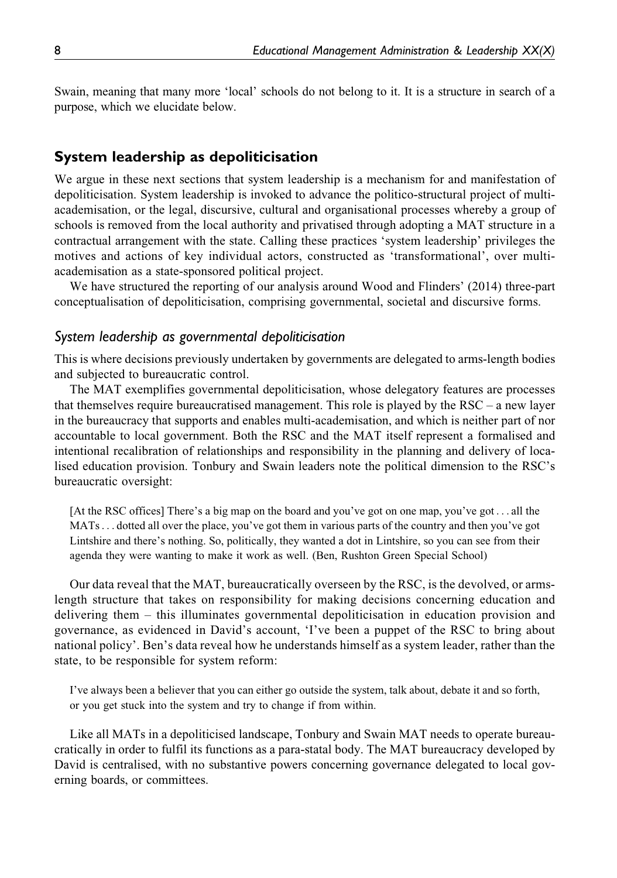Swain, meaning that many more 'local' schools do not belong to it. It is a structure in search of a purpose, which we elucidate below.

## System leadership as depoliticisation

We argue in these next sections that system leadership is a mechanism for and manifestation of depoliticisation. System leadership is invoked to advance the politico-structural project of multiacademisation, or the legal, discursive, cultural and organisational processes whereby a group of schools is removed from the local authority and privatised through adopting a MAT structure in a contractual arrangement with the state. Calling these practices 'system leadership' privileges the motives and actions of key individual actors, constructed as 'transformational', over multiacademisation as a state-sponsored political project.

We have structured the reporting of our analysis around Wood and Flinders' (2014) three-part conceptualisation of depoliticisation, comprising governmental, societal and discursive forms.

#### System leadership as governmental depoliticisation

This is where decisions previously undertaken by governments are delegated to arms-length bodies and subjected to bureaucratic control.

The MAT exemplifies governmental depoliticisation, whose delegatory features are processes that themselves require bureaucratised management. This role is played by the RSC – a new layer in the bureaucracy that supports and enables multi-academisation, and which is neither part of nor accountable to local government. Both the RSC and the MAT itself represent a formalised and intentional recalibration of relationships and responsibility in the planning and delivery of localised education provision. Tonbury and Swain leaders note the political dimension to the RSC's bureaucratic oversight:

[At the RSC offices] There's a big map on the board and you've got on one map, you've got ... all the MATs... dotted all over the place, you've got them in various parts of the country and then you've got Lintshire and there's nothing. So, politically, they wanted a dot in Lintshire, so you can see from their agenda they were wanting to make it work as well. (Ben, Rushton Green Special School)

Our data reveal that the MAT, bureaucratically overseen by the RSC, is the devolved, or armslength structure that takes on responsibility for making decisions concerning education and delivering them – this illuminates governmental depoliticisation in education provision and governance, as evidenced in David's account, 'I've been a puppet of the RSC to bring about national policy'. Ben's data reveal how he understands himself as a system leader, rather than the state, to be responsible for system reform:

I've always been a believer that you can either go outside the system, talk about, debate it and so forth, or you get stuck into the system and try to change if from within.

Like all MATs in a depoliticised landscape, Tonbury and Swain MAT needs to operate bureaucratically in order to fulfil its functions as a para-statal body. The MAT bureaucracy developed by David is centralised, with no substantive powers concerning governance delegated to local governing boards, or committees.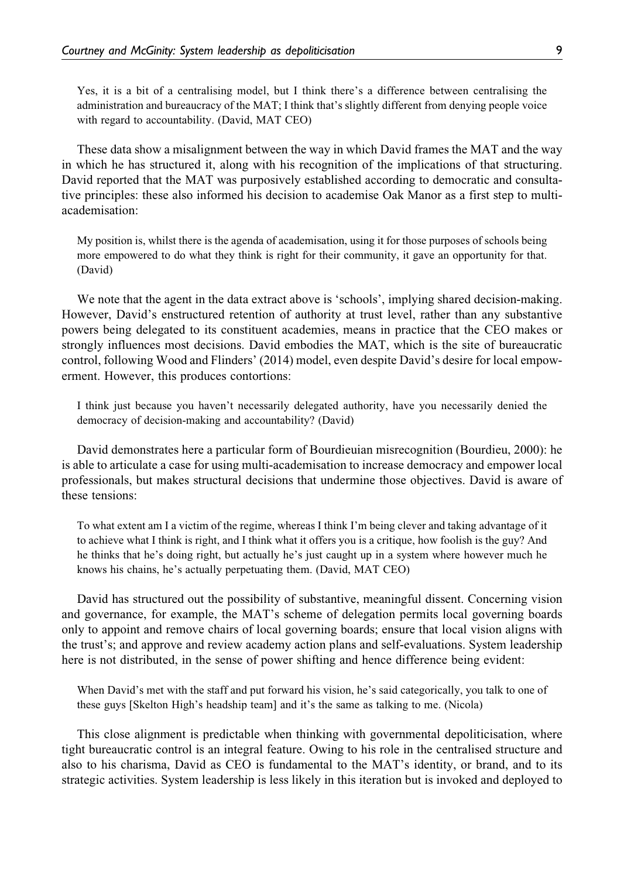Yes, it is a bit of a centralising model, but I think there's a difference between centralising the administration and bureaucracy of the MAT; I think that's slightly different from denying people voice with regard to accountability. (David, MAT CEO)

These data show a misalignment between the way in which David frames the MAT and the way in which he has structured it, along with his recognition of the implications of that structuring. David reported that the MAT was purposively established according to democratic and consultative principles: these also informed his decision to academise Oak Manor as a first step to multiacademisation:

My position is, whilst there is the agenda of academisation, using it for those purposes of schools being more empowered to do what they think is right for their community, it gave an opportunity for that. (David)

We note that the agent in the data extract above is 'schools', implying shared decision-making. However, David's enstructured retention of authority at trust level, rather than any substantive powers being delegated to its constituent academies, means in practice that the CEO makes or strongly influences most decisions. David embodies the MAT, which is the site of bureaucratic control, following Wood and Flinders' (2014) model, even despite David's desire for local empowerment. However, this produces contortions:

I think just because you haven't necessarily delegated authority, have you necessarily denied the democracy of decision-making and accountability? (David)

David demonstrates here a particular form of Bourdieuian misrecognition (Bourdieu, 2000): he is able to articulate a case for using multi-academisation to increase democracy and empower local professionals, but makes structural decisions that undermine those objectives. David is aware of these tensions:

To what extent am I a victim of the regime, whereas I think I'm being clever and taking advantage of it to achieve what I think is right, and I think what it offers you is a critique, how foolish is the guy? And he thinks that he's doing right, but actually he's just caught up in a system where however much he knows his chains, he's actually perpetuating them. (David, MAT CEO)

David has structured out the possibility of substantive, meaningful dissent. Concerning vision and governance, for example, the MAT's scheme of delegation permits local governing boards only to appoint and remove chairs of local governing boards; ensure that local vision aligns with the trust's; and approve and review academy action plans and self-evaluations. System leadership here is not distributed, in the sense of power shifting and hence difference being evident:

When David's met with the staff and put forward his vision, he's said categorically, you talk to one of these guys [Skelton High's headship team] and it's the same as talking to me. (Nicola)

This close alignment is predictable when thinking with governmental depoliticisation, where tight bureaucratic control is an integral feature. Owing to his role in the centralised structure and also to his charisma, David as CEO is fundamental to the MAT's identity, or brand, and to its strategic activities. System leadership is less likely in this iteration but is invoked and deployed to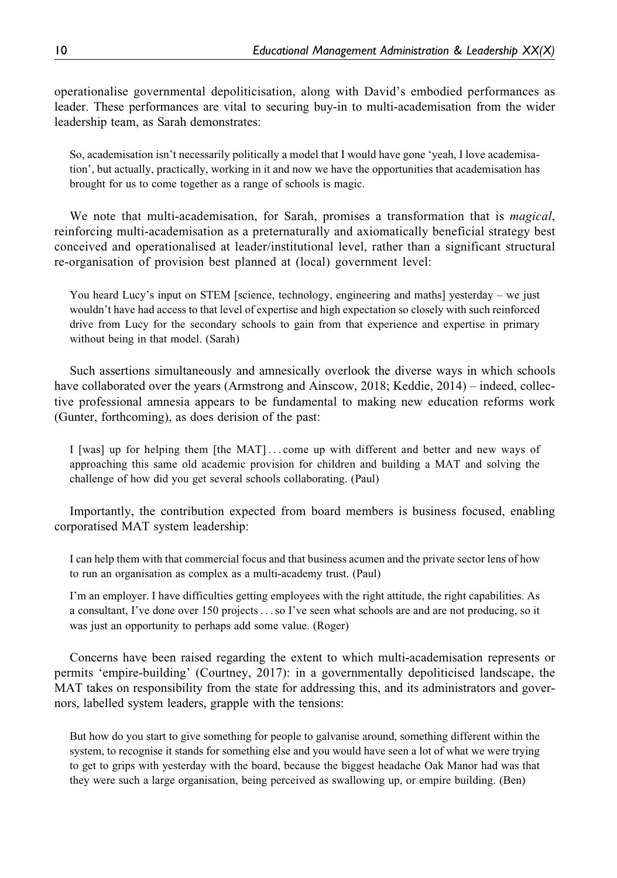operationalise governmental depoliticisation, along with David's embodied performances as leader. These performances are vital to securing buy-in to multi-academisation from the wider leadership team, as Sarah demonstrates:

So, academisation isn't necessarily politically a model that I would have gone 'yeah, I love academisation', but actually, practically, working in it and now we have the opportunities that academisation has brought for us to come together as a range of schools is magic.

We note that multi-academisation, for Sarah, promises a transformation that is *magical*, reinforcing multi-academisation as a preternaturally and axiomatically beneficial strategy best conceived and operationalised at leader/institutional level, rather than a significant structural re-organisation of provision best planned at (local) government level:

You heard Lucy's input on STEM [science, technology, engineering and maths] yesterday – we just wouldn't have had access to that level of expertise and high expectation so closely with such reinforced drive from Lucy for the secondary schools to gain from that experience and expertise in primary without being in that model. (Sarah)

Such assertions simultaneously and amnesically overlook the diverse ways in which schools have collaborated over the years (Armstrong and Ainscow, 2018; Keddie, 2014) – indeed, collective professional amnesia appears to be fundamental to making new education reforms work (Gunter, forthcoming), as does derision of the past:

I [was] up for helping them [the MAT] ... come up with different and better and new ways of approaching this same old academic provision for children and building a MAT and solving the challenge of how did you get several schools collaborating. (Paul)

Importantly, the contribution expected from board members is business focused, enabling corporatised MAT system leadership:

I can help them with that commercial focus and that business acumen and the private sector lens of how to run an organisation as complex as a multi-academy trust. (Paul)

I'm an employer. I have difficulties getting employees with the right attitude, the right capabilities. As a consultant, I've done over 150 projects...so I've seen what schools are and are not producing, so it was just an opportunity to perhaps add some value. (Roger)

Concerns have been raised regarding the extent to which multi-academisation represents or permits 'empire-building' (Courtney, 2017): in a governmentally depoliticised landscape, the MAT takes on responsibility from the state for addressing this, and its administrators and governors, labelled system leaders, grapple with the tensions:

But how do you start to give something for people to galvanise around, something different within the system, to recognise it stands for something else and you would have seen a lot of what we were trying to get to grips with yesterday with the board, because the biggest headache Oak Manor had was that they were such a large organisation, being perceived as swallowing up, or empire building. (Ben)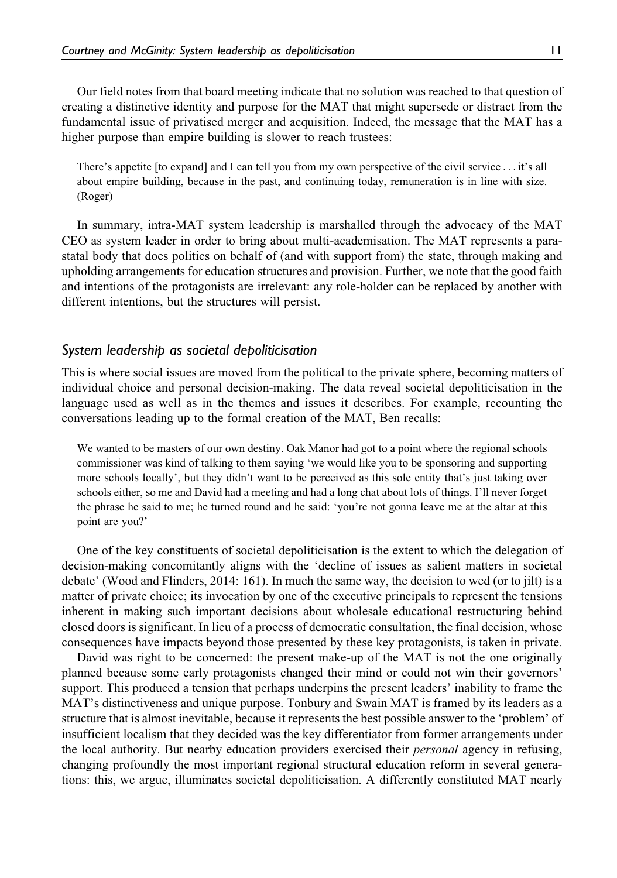Our field notes from that board meeting indicate that no solution was reached to that question of creating a distinctive identity and purpose for the MAT that might supersede or distract from the fundamental issue of privatised merger and acquisition. Indeed, the message that the MAT has a higher purpose than empire building is slower to reach trustees:

There's appetite [to expand] and I can tell you from my own perspective of the civil service ... it's all about empire building, because in the past, and continuing today, remuneration is in line with size. (Roger)

In summary, intra-MAT system leadership is marshalled through the advocacy of the MAT CEO as system leader in order to bring about multi-academisation. The MAT represents a parastatal body that does politics on behalf of (and with support from) the state, through making and upholding arrangements for education structures and provision. Further, we note that the good faith and intentions of the protagonists are irrelevant: any role-holder can be replaced by another with different intentions, but the structures will persist.

#### System leadership as societal depoliticisation

This is where social issues are moved from the political to the private sphere, becoming matters of individual choice and personal decision-making. The data reveal societal depoliticisation in the language used as well as in the themes and issues it describes. For example, recounting the conversations leading up to the formal creation of the MAT, Ben recalls:

We wanted to be masters of our own destiny. Oak Manor had got to a point where the regional schools commissioner was kind of talking to them saying 'we would like you to be sponsoring and supporting more schools locally', but they didn't want to be perceived as this sole entity that's just taking over schools either, so me and David had a meeting and had a long chat about lots of things. I'll never forget the phrase he said to me; he turned round and he said: 'you're not gonna leave me at the altar at this point are you?'

One of the key constituents of societal depoliticisation is the extent to which the delegation of decision-making concomitantly aligns with the 'decline of issues as salient matters in societal debate' (Wood and Flinders, 2014: 161). In much the same way, the decision to wed (or to jilt) is a matter of private choice; its invocation by one of the executive principals to represent the tensions inherent in making such important decisions about wholesale educational restructuring behind closed doors is significant. In lieu of a process of democratic consultation, the final decision, whose consequences have impacts beyond those presented by these key protagonists, is taken in private.

David was right to be concerned: the present make-up of the MAT is not the one originally planned because some early protagonists changed their mind or could not win their governors' support. This produced a tension that perhaps underpins the present leaders' inability to frame the MAT's distinctiveness and unique purpose. Tonbury and Swain MAT is framed by its leaders as a structure that is almost inevitable, because it represents the best possible answer to the 'problem' of insufficient localism that they decided was the key differentiator from former arrangements under the local authority. But nearby education providers exercised their personal agency in refusing, changing profoundly the most important regional structural education reform in several generations: this, we argue, illuminates societal depoliticisation. A differently constituted MAT nearly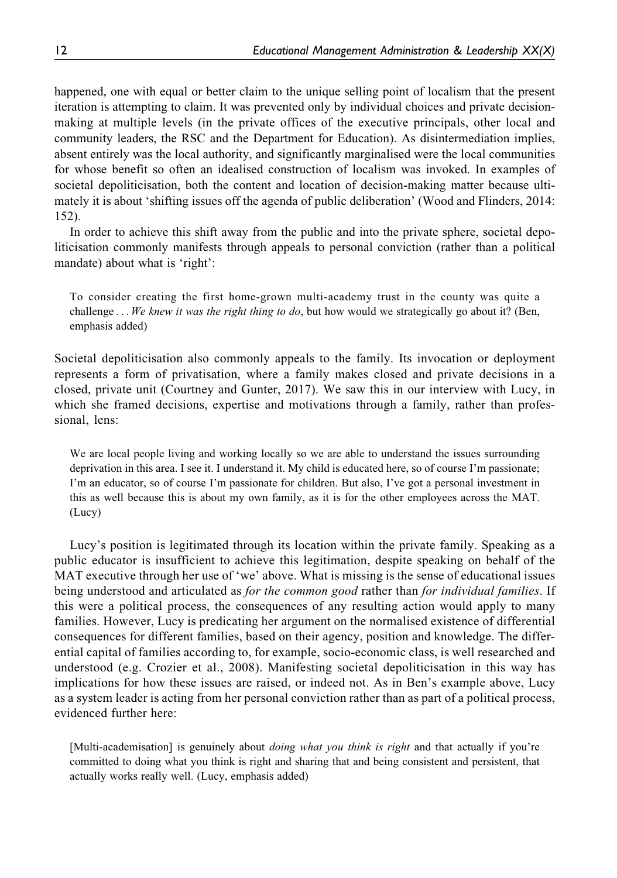happened, one with equal or better claim to the unique selling point of localism that the present iteration is attempting to claim. It was prevented only by individual choices and private decisionmaking at multiple levels (in the private offices of the executive principals, other local and community leaders, the RSC and the Department for Education). As disintermediation implies, absent entirely was the local authority, and significantly marginalised were the local communities for whose benefit so often an idealised construction of localism was invoked. In examples of societal depoliticisation, both the content and location of decision-making matter because ultimately it is about 'shifting issues off the agenda of public deliberation' (Wood and Flinders, 2014: 152).

In order to achieve this shift away from the public and into the private sphere, societal depoliticisation commonly manifests through appeals to personal conviction (rather than a political mandate) about what is 'right':

To consider creating the first home-grown multi-academy trust in the county was quite a challenge  $\dots$  We knew it was the right thing to do, but how would we strategically go about it? (Ben, emphasis added)

Societal depoliticisation also commonly appeals to the family. Its invocation or deployment represents a form of privatisation, where a family makes closed and private decisions in a closed, private unit (Courtney and Gunter, 2017). We saw this in our interview with Lucy, in which she framed decisions, expertise and motivations through a family, rather than professional, lens:

We are local people living and working locally so we are able to understand the issues surrounding deprivation in this area. I see it. I understand it. My child is educated here, so of course I'm passionate; I'm an educator, so of course I'm passionate for children. But also, I've got a personal investment in this as well because this is about my own family, as it is for the other employees across the MAT. (Lucy)

Lucy's position is legitimated through its location within the private family. Speaking as a public educator is insufficient to achieve this legitimation, despite speaking on behalf of the MAT executive through her use of 'we' above. What is missing is the sense of educational issues being understood and articulated as for the common good rather than for individual families. If this were a political process, the consequences of any resulting action would apply to many families. However, Lucy is predicating her argument on the normalised existence of differential consequences for different families, based on their agency, position and knowledge. The differential capital of families according to, for example, socio-economic class, is well researched and understood (e.g. Crozier et al., 2008). Manifesting societal depoliticisation in this way has implications for how these issues are raised, or indeed not. As in Ben's example above, Lucy as a system leader is acting from her personal conviction rather than as part of a political process, evidenced further here:

[Multi-academisation] is genuinely about *doing what you think is right* and that actually if you're committed to doing what you think is right and sharing that and being consistent and persistent, that actually works really well. (Lucy, emphasis added)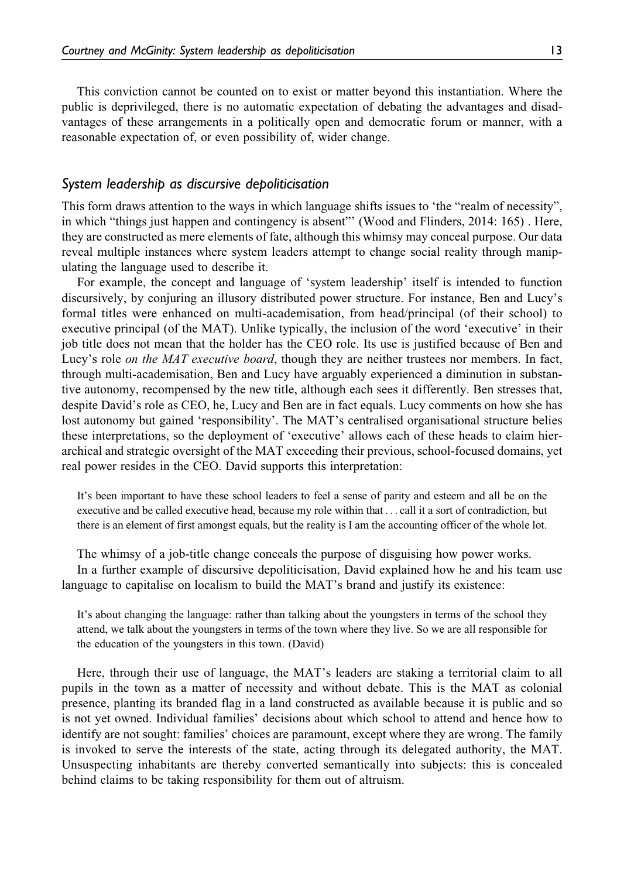This conviction cannot be counted on to exist or matter beyond this instantiation. Where the public is deprivileged, there is no automatic expectation of debating the advantages and disadvantages of these arrangements in a politically open and democratic forum or manner, with a reasonable expectation of, or even possibility of, wider change.

## System leadership as discursive depoliticisation

This form draws attention to the ways in which language shifts issues to 'the "realm of necessity", in which "things just happen and contingency is absent"' (Wood and Flinders, 2014: 165) . Here, they are constructed as mere elements of fate, although this whimsy may conceal purpose. Our data reveal multiple instances where system leaders attempt to change social reality through manipulating the language used to describe it.

For example, the concept and language of 'system leadership' itself is intended to function discursively, by conjuring an illusory distributed power structure. For instance, Ben and Lucy's formal titles were enhanced on multi-academisation, from head/principal (of their school) to executive principal (of the MAT). Unlike typically, the inclusion of the word 'executive' in their job title does not mean that the holder has the CEO role. Its use is justified because of Ben and Lucy's role *on the MAT executive board*, though they are neither trustees nor members. In fact, through multi-academisation, Ben and Lucy have arguably experienced a diminution in substantive autonomy, recompensed by the new title, although each sees it differently. Ben stresses that, despite David's role as CEO, he, Lucy and Ben are in fact equals. Lucy comments on how she has lost autonomy but gained 'responsibility'. The MAT's centralised organisational structure belies these interpretations, so the deployment of 'executive' allows each of these heads to claim hierarchical and strategic oversight of the MAT exceeding their previous, school-focused domains, yet real power resides in the CEO. David supports this interpretation:

It's been important to have these school leaders to feel a sense of parity and esteem and all be on the executive and be called executive head, because my role within that ... call it a sort of contradiction, but there is an element of first amongst equals, but the reality is I am the accounting officer of the whole lot.

The whimsy of a job-title change conceals the purpose of disguising how power works. In a further example of discursive depoliticisation, David explained how he and his team use language to capitalise on localism to build the MAT's brand and justify its existence:

It's about changing the language: rather than talking about the youngsters in terms of the school they attend, we talk about the youngsters in terms of the town where they live. So we are all responsible for the education of the youngsters in this town. (David)

Here, through their use of language, the MAT's leaders are staking a territorial claim to all pupils in the town as a matter of necessity and without debate. This is the MAT as colonial presence, planting its branded flag in a land constructed as available because it is public and so is not yet owned. Individual families' decisions about which school to attend and hence how to identify are not sought: families' choices are paramount, except where they are wrong. The family is invoked to serve the interests of the state, acting through its delegated authority, the MAT. Unsuspecting inhabitants are thereby converted semantically into subjects: this is concealed behind claims to be taking responsibility for them out of altruism.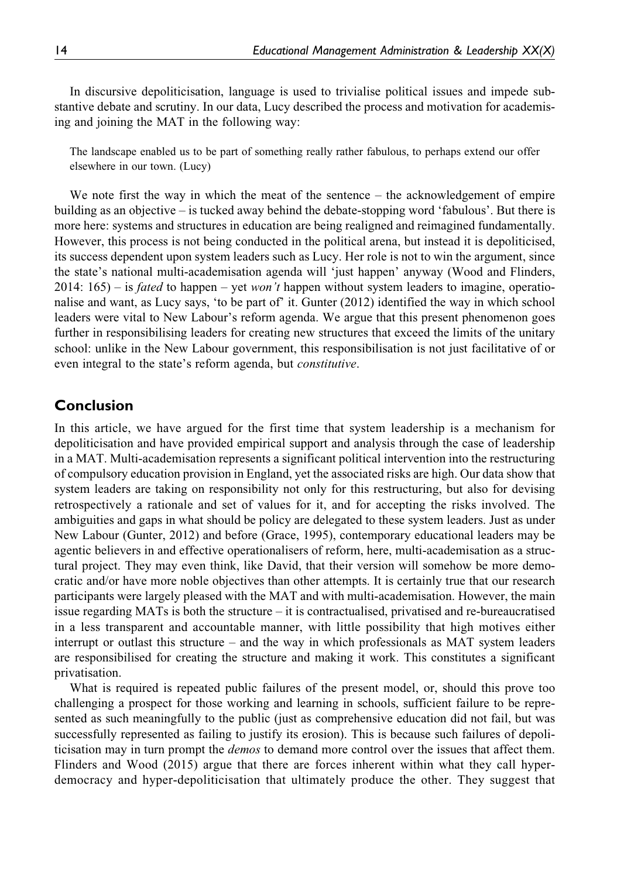In discursive depoliticisation, language is used to trivialise political issues and impede substantive debate and scrutiny. In our data, Lucy described the process and motivation for academising and joining the MAT in the following way:

The landscape enabled us to be part of something really rather fabulous, to perhaps extend our offer elsewhere in our town. (Lucy)

We note first the way in which the meat of the sentence – the acknowledgement of empire building as an objective – is tucked away behind the debate-stopping word 'fabulous'. But there is more here: systems and structures in education are being realigned and reimagined fundamentally. However, this process is not being conducted in the political arena, but instead it is depoliticised, its success dependent upon system leaders such as Lucy. Her role is not to win the argument, since the state's national multi-academisation agenda will 'just happen' anyway (Wood and Flinders, 2014:  $165$ ) – is *fated* to happen – yet *won't* happen without system leaders to imagine, operationalise and want, as Lucy says, 'to be part of' it. Gunter (2012) identified the way in which school leaders were vital to New Labour's reform agenda. We argue that this present phenomenon goes further in responsibilising leaders for creating new structures that exceed the limits of the unitary school: unlike in the New Labour government, this responsibilisation is not just facilitative of or even integral to the state's reform agenda, but constitutive.

## Conclusion

In this article, we have argued for the first time that system leadership is a mechanism for depoliticisation and have provided empirical support and analysis through the case of leadership in a MAT. Multi-academisation represents a significant political intervention into the restructuring of compulsory education provision in England, yet the associated risks are high. Our data show that system leaders are taking on responsibility not only for this restructuring, but also for devising retrospectively a rationale and set of values for it, and for accepting the risks involved. The ambiguities and gaps in what should be policy are delegated to these system leaders. Just as under New Labour (Gunter, 2012) and before (Grace, 1995), contemporary educational leaders may be agentic believers in and effective operationalisers of reform, here, multi-academisation as a structural project. They may even think, like David, that their version will somehow be more democratic and/or have more noble objectives than other attempts. It is certainly true that our research participants were largely pleased with the MAT and with multi-academisation. However, the main issue regarding MATs is both the structure – it is contractualised, privatised and re-bureaucratised in a less transparent and accountable manner, with little possibility that high motives either interrupt or outlast this structure – and the way in which professionals as MAT system leaders are responsibilised for creating the structure and making it work. This constitutes a significant privatisation.

What is required is repeated public failures of the present model, or, should this prove too challenging a prospect for those working and learning in schools, sufficient failure to be represented as such meaningfully to the public (just as comprehensive education did not fail, but was successfully represented as failing to justify its erosion). This is because such failures of depoliticisation may in turn prompt the *demos* to demand more control over the issues that affect them. Flinders and Wood (2015) argue that there are forces inherent within what they call hyperdemocracy and hyper-depoliticisation that ultimately produce the other. They suggest that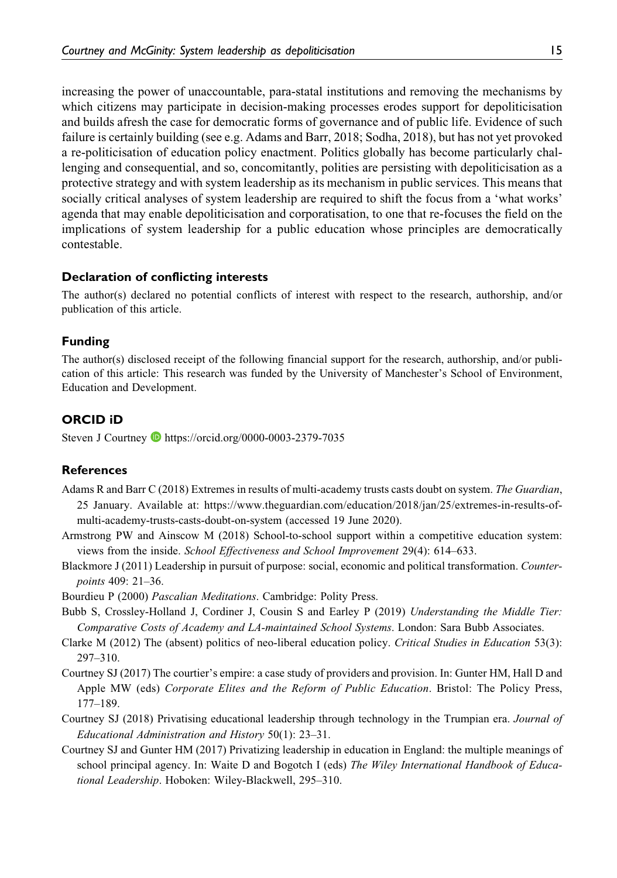increasing the power of unaccountable, para-statal institutions and removing the mechanisms by which citizens may participate in decision-making processes erodes support for depoliticisation and builds afresh the case for democratic forms of governance and of public life. Evidence of such failure is certainly building (see e.g. Adams and Barr, 2018; Sodha, 2018), but has not yet provoked a re-politicisation of education policy enactment. Politics globally has become particularly challenging and consequential, and so, concomitantly, polities are persisting with depoliticisation as a protective strategy and with system leadership as its mechanism in public services. This means that socially critical analyses of system leadership are required to shift the focus from a 'what works' agenda that may enable depoliticisation and corporatisation, to one that re-focuses the field on the implications of system leadership for a public education whose principles are democratically contestable.

#### Declaration of conflicting interests

The author(s) declared no potential conflicts of interest with respect to the research, authorship, and/or publication of this article.

#### Funding

The author(s) disclosed receipt of the following financial support for the research, authorship, and/or publication of this article: This research was funded by the University of Manchester's School of Environment, Education and Development.

#### ORCID iD

Steven J Courtney **b** <https://orcid.org/0000-0003-2379-7035>

#### **References**

- Adams R and Barr C (2018) Extremes in results of multi-academy trusts casts doubt on system. The Guardian, 25 January. Available at: [https://www.theguardian.com/education/2018/jan/25/extremes-in-results-of](https://www.theguardian.com/education/2018/jan/25/extremes-in-results-of-multi-academy-trusts-casts-doubt-on-system)[multi-academy-trusts-casts-doubt-on-system](https://www.theguardian.com/education/2018/jan/25/extremes-in-results-of-multi-academy-trusts-casts-doubt-on-system) (accessed 19 June 2020).
- Armstrong PW and Ainscow M (2018) School-to-school support within a competitive education system: views from the inside. School Effectiveness and School Improvement 29(4): 614–633.
- Blackmore J (2011) Leadership in pursuit of purpose: social, economic and political transformation. Counterpoints 409: 21–36.
- Bourdieu P (2000) Pascalian Meditations. Cambridge: Polity Press.
- Bubb S, Crossley-Holland J, Cordiner J, Cousin S and Earley P (2019) Understanding the Middle Tier: Comparative Costs of Academy and LA-maintained School Systems. London: Sara Bubb Associates.
- Clarke M (2012) The (absent) politics of neo-liberal education policy. Critical Studies in Education 53(3): 297–310.
- Courtney SJ (2017) The courtier's empire: a case study of providers and provision. In: Gunter HM, Hall D and Apple MW (eds) Corporate Elites and the Reform of Public Education. Bristol: The Policy Press, 177–189.
- Courtney SJ (2018) Privatising educational leadership through technology in the Trumpian era. Journal of Educational Administration and History 50(1): 23–31.
- Courtney SJ and Gunter HM (2017) Privatizing leadership in education in England: the multiple meanings of school principal agency. In: Waite D and Bogotch I (eds) The Wiley International Handbook of Educational Leadership. Hoboken: Wiley-Blackwell, 295–310.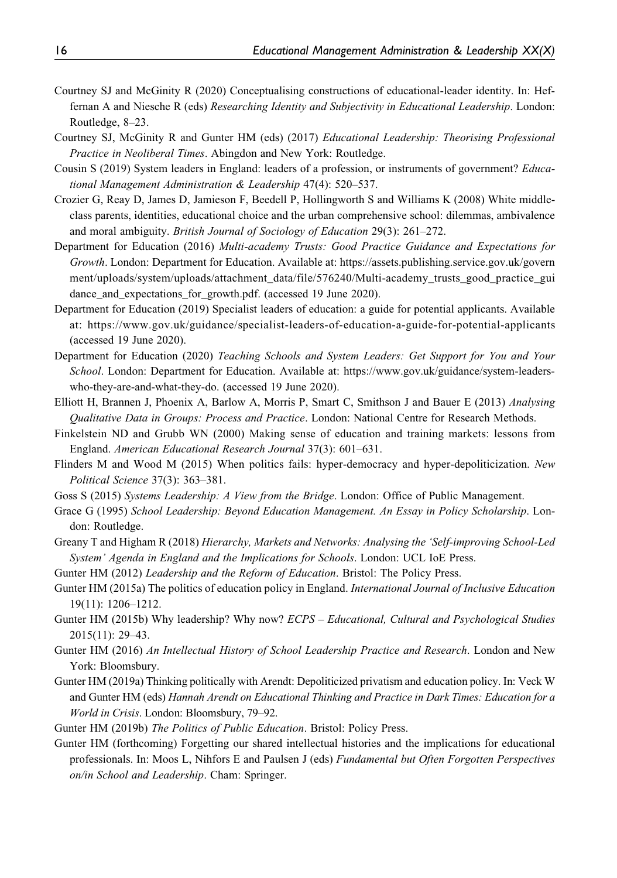- Courtney SJ and McGinity R (2020) Conceptualising constructions of educational-leader identity. In: Heffernan A and Niesche R (eds) Researching Identity and Subjectivity in Educational Leadership. London: Routledge, 8–23.
- Courtney SJ, McGinity R and Gunter HM (eds) (2017) Educational Leadership: Theorising Professional Practice in Neoliberal Times. Abingdon and New York: Routledge.
- Cousin S (2019) System leaders in England: leaders of a profession, or instruments of government? Educational Management Administration & Leadership 47(4): 520–537.
- Crozier G, Reay D, James D, Jamieson F, Beedell P, Hollingworth S and Williams K (2008) White middleclass parents, identities, educational choice and the urban comprehensive school: dilemmas, ambivalence and moral ambiguity. British Journal of Sociology of Education 29(3): 261–272.
- Department for Education (2016) Multi-academy Trusts: Good Practice Guidance and Expectations for Growth. London: Department for Education. Available at: [https://assets.publishing.service.gov.uk/govern](https://assets.publishing.service.gov.uk/government/uploads/system/uploads/attachment_data/file/576240/Multi-academy_trusts_good_practice_guidance_and_expectations_for_growth.pdf) [ment/uploads/system/uploads/attachment\\_data/file/576240/Multi-academy\\_trusts\\_good\\_practice\\_gui](https://assets.publishing.service.gov.uk/government/uploads/system/uploads/attachment_data/file/576240/Multi-academy_trusts_good_practice_guidance_and_expectations_for_growth.pdf) [dance\\_and\\_expectations\\_for\\_growth.pdf](https://assets.publishing.service.gov.uk/government/uploads/system/uploads/attachment_data/file/576240/Multi-academy_trusts_good_practice_guidance_and_expectations_for_growth.pdf). (accessed 19 June 2020).
- Department for Education (2019) Specialist leaders of education: a guide for potential applicants. Available at:<https://www.gov.uk/guidance/specialist-leaders-of-education-a-guide-for-potential-applicants> (accessed 19 June 2020).
- Department for Education (2020) Teaching Schools and System Leaders: Get Support for You and Your School. London: Department for Education. Available at: [https://www.gov.uk/guidance/system-leaders](https://www.gov.uk/guidance/system-leaders-who-they-are-and-what-they-do)[who-they-are-and-what-they-do](https://www.gov.uk/guidance/system-leaders-who-they-are-and-what-they-do). (accessed 19 June 2020).
- Elliott H, Brannen J, Phoenix A, Barlow A, Morris P, Smart C, Smithson J and Bauer E (2013) Analysing Qualitative Data in Groups: Process and Practice. London: National Centre for Research Methods.
- Finkelstein ND and Grubb WN (2000) Making sense of education and training markets: lessons from England. American Educational Research Journal 37(3): 601–631.
- Flinders M and Wood M (2015) When politics fails: hyper-democracy and hyper-depoliticization. New Political Science 37(3): 363–381.
- Goss S (2015) Systems Leadership: A View from the Bridge. London: Office of Public Management.
- Grace G (1995) School Leadership: Beyond Education Management. An Essay in Policy Scholarship. London: Routledge.
- Greany T and Higham R (2018) Hierarchy, Markets and Networks: Analysing the 'Self-improving School-Led System' Agenda in England and the Implications for Schools. London: UCL IoE Press.
- Gunter HM (2012) Leadership and the Reform of Education. Bristol: The Policy Press.
- Gunter HM (2015a) The politics of education policy in England. International Journal of Inclusive Education 19(11): 1206–1212.
- Gunter HM (2015b) Why leadership? Why now? ECPS Educational, Cultural and Psychological Studies 2015(11): 29–43.
- Gunter HM (2016) An Intellectual History of School Leadership Practice and Research. London and New York: Bloomsbury.
- Gunter HM (2019a) Thinking politically with Arendt: Depoliticized privatism and education policy. In: Veck W and Gunter HM (eds) Hannah Arendt on Educational Thinking and Practice in Dark Times: Education for a World in Crisis. London: Bloomsbury, 79–92.
- Gunter HM (2019b) The Politics of Public Education. Bristol: Policy Press.
- Gunter HM (forthcoming) Forgetting our shared intellectual histories and the implications for educational professionals. In: Moos L, Nihfors E and Paulsen J (eds) Fundamental but Often Forgotten Perspectives on/in School and Leadership. Cham: Springer.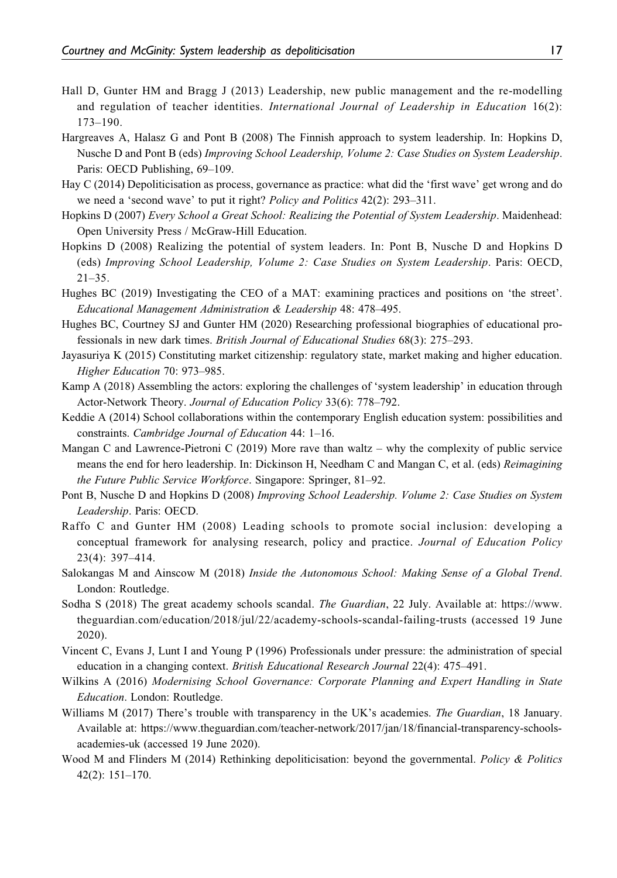- Hall D, Gunter HM and Bragg J (2013) Leadership, new public management and the re-modelling and regulation of teacher identities. International Journal of Leadership in Education 16(2): 173–190.
- Hargreaves A, Halasz G and Pont B (2008) The Finnish approach to system leadership. In: Hopkins D, Nusche D and Pont B (eds) Improving School Leadership, Volume 2: Case Studies on System Leadership. Paris: OECD Publishing, 69–109.
- Hay C (2014) Depoliticisation as process, governance as practice: what did the 'first wave' get wrong and do we need a 'second wave' to put it right? Policy and Politics 42(2): 293–311.
- Hopkins D (2007) Every School a Great School: Realizing the Potential of System Leadership. Maidenhead: Open University Press / McGraw-Hill Education.
- Hopkins D (2008) Realizing the potential of system leaders. In: Pont B, Nusche D and Hopkins D (eds) Improving School Leadership, Volume 2: Case Studies on System Leadership. Paris: OECD, 21–35.
- Hughes BC (2019) Investigating the CEO of a MAT: examining practices and positions on 'the street'. Educational Management Administration & Leadership 48: 478–495.
- Hughes BC, Courtney SJ and Gunter HM (2020) Researching professional biographies of educational professionals in new dark times. British Journal of Educational Studies 68(3): 275–293.
- Jayasuriya K (2015) Constituting market citizenship: regulatory state, market making and higher education. Higher Education 70: 973–985.
- Kamp A (2018) Assembling the actors: exploring the challenges of 'system leadership' in education through Actor-Network Theory. Journal of Education Policy 33(6): 778–792.
- Keddie A (2014) School collaborations within the contemporary English education system: possibilities and constraints. Cambridge Journal of Education 44: 1–16.
- Mangan C and Lawrence-Pietroni C (2019) More rave than waltz why the complexity of public service means the end for hero leadership. In: Dickinson H, Needham C and Mangan C, et al. (eds) Reimagining the Future Public Service Workforce. Singapore: Springer, 81–92.
- Pont B, Nusche D and Hopkins D (2008) Improving School Leadership. Volume 2: Case Studies on System Leadership. Paris: OECD.
- Raffo C and Gunter HM (2008) Leading schools to promote social inclusion: developing a conceptual framework for analysing research, policy and practice. Journal of Education Policy 23(4): 397–414.
- Salokangas M and Ainscow M (2018) Inside the Autonomous School: Making Sense of a Global Trend. London: Routledge.
- Sodha S (2018) The great academy schools scandal. The Guardian, 22 July. Available at: [https://www.](https://www.theguardian.com/education/2018/jul/22/academy-schools-scandal-failing-trusts) [theguardian.com/education/2018/jul/22/academy-schools-scandal-failing-trusts](https://www.theguardian.com/education/2018/jul/22/academy-schools-scandal-failing-trusts) (accessed 19 June 2020).
- Vincent C, Evans J, Lunt I and Young P (1996) Professionals under pressure: the administration of special education in a changing context. British Educational Research Journal 22(4): 475–491.
- Wilkins A (2016) Modernising School Governance: Corporate Planning and Expert Handling in State Education. London: Routledge.
- Williams M (2017) There's trouble with transparency in the UK's academies. The Guardian, 18 January. Available at: [https://www.theguardian.com/teacher-network/2017/jan/18/financial-transparency-schools](https://www.theguardian.com/teacher-network/2017/jan/18/financial-transparency-schools-academies-uk)[academies-uk](https://www.theguardian.com/teacher-network/2017/jan/18/financial-transparency-schools-academies-uk) (accessed 19 June 2020).
- Wood M and Flinders M (2014) Rethinking depoliticisation: beyond the governmental. Policy & Politics 42(2): 151–170.